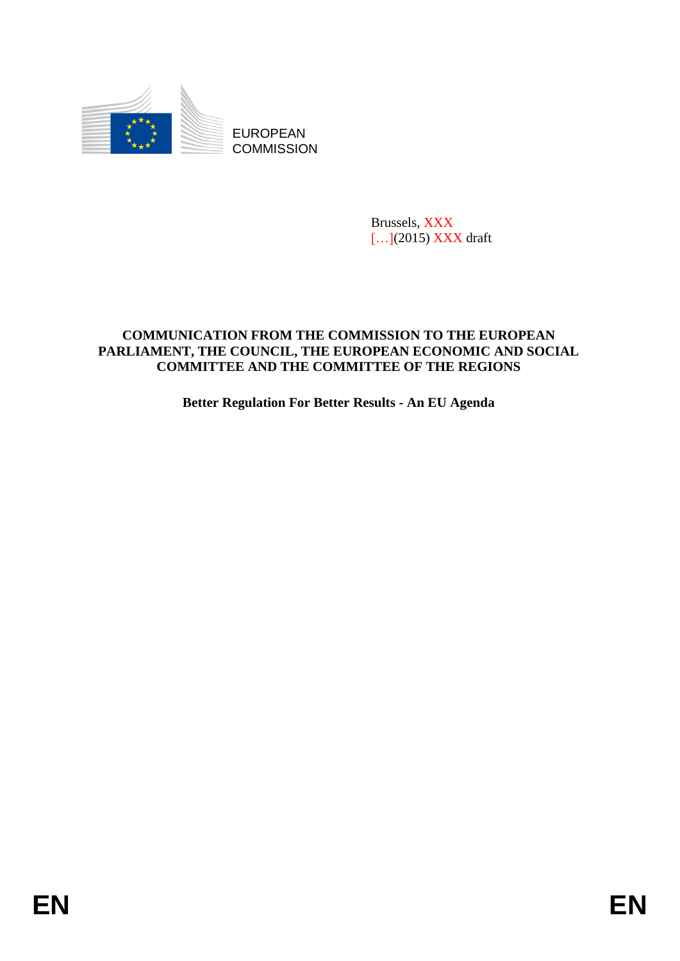

**COMMISSION** 

Brussels, XXX [...](2015) **XXX** draft

# EUROPEAN<br>
EUROPEAN<br>
ENGELISION<br>
ENGELISION<br>
COMMISSION<br>
ENGELISION<br>
COMMITTEE ATO THE COMMISSION TO THE RETROPEAN<br>
FARLIAMENT, THE COUNCIL, THE EUROPEAN ECONOMIC AND SOCIAL<br>
FARLIAMENT THE AND THE CONDITTIEE OF THE REGION<br> **COMMUNICATION FROM THE COMMISSION TO THE EUROPEAN PARLIAMENT, THE COUNCIL, THE EUROPEAN ECONOMIC AND SOCIAL COMMITTEE AND THE COMMITTEE OF THE REGIONS**

**Better Regulation For Better Results - An EU Agenda**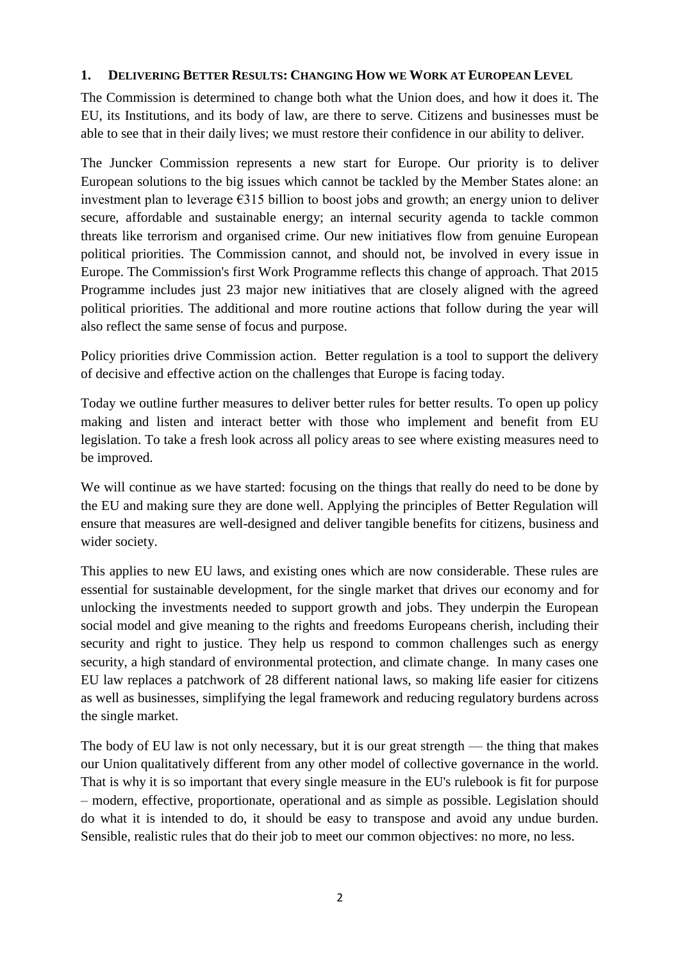### **1. DELIVERING BETTER RESULTS: CHANGING HOW WE WORK AT EUROPEAN LEVEL**

The Commission is determined to change both what the Union does, and how it does it. The EU, its Institutions, and its body of law, are there to serve. Citizens and businesses must be able to see that in their daily lives; we must restore their confidence in our ability to deliver.

The Juncker Commission represents a new start for Europe. Our priority is to deliver European solutions to the big issues which cannot be tackled by the Member States alone: an investment plan to leverage  $\epsilon$ 315 billion to boost jobs and growth; an energy union to deliver secure, affordable and sustainable energy; an internal security agenda to tackle common threats like terrorism and organised crime. Our new initiatives flow from genuine European political priorities. The Commission cannot, and should not, be involved in every issue in Europe. The Commission's first Work Programme reflects this change of approach. That 2015 Programme includes just 23 major new initiatives that are closely aligned with the agreed political priorities. The additional and more routine actions that follow during the year will also reflect the same sense of focus and purpose.

Policy priorities drive Commission action. Better regulation is a tool to support the delivery of decisive and effective action on the challenges that Europe is facing today.

Today we outline further measures to deliver better rules for better results. To open up policy making and listen and interact better with those who implement and benefit from EU legislation. To take a fresh look across all policy areas to see where existing measures need to be improved.

We will continue as we have started: focusing on the things that really do need to be done by the EU and making sure they are done well. Applying the principles of Better Regulation will ensure that measures are well-designed and deliver tangible benefits for citizens, business and wider society.

This applies to new EU laws, and existing ones which are now considerable. These rules are essential for sustainable development, for the single market that drives our economy and for unlocking the investments needed to support growth and jobs. They underpin the European social model and give meaning to the rights and freedoms Europeans cherish, including their security and right to justice. They help us respond to common challenges such as energy security, a high standard of environmental protection, and climate change. In many cases one EU law replaces a patchwork of 28 different national laws, so making life easier for citizens as well as businesses, simplifying the legal framework and reducing regulatory burdens across the single market.

The body of EU law is not only necessary, but it is our great strength — the thing that makes our Union qualitatively different from any other model of collective governance in the world. That is why it is so important that every single measure in the EU's rulebook is fit for purpose – modern, effective, proportionate, operational and as simple as possible. Legislation should do what it is intended to do, it should be easy to transpose and avoid any undue burden. Sensible, realistic rules that do their job to meet our common objectives: no more, no less.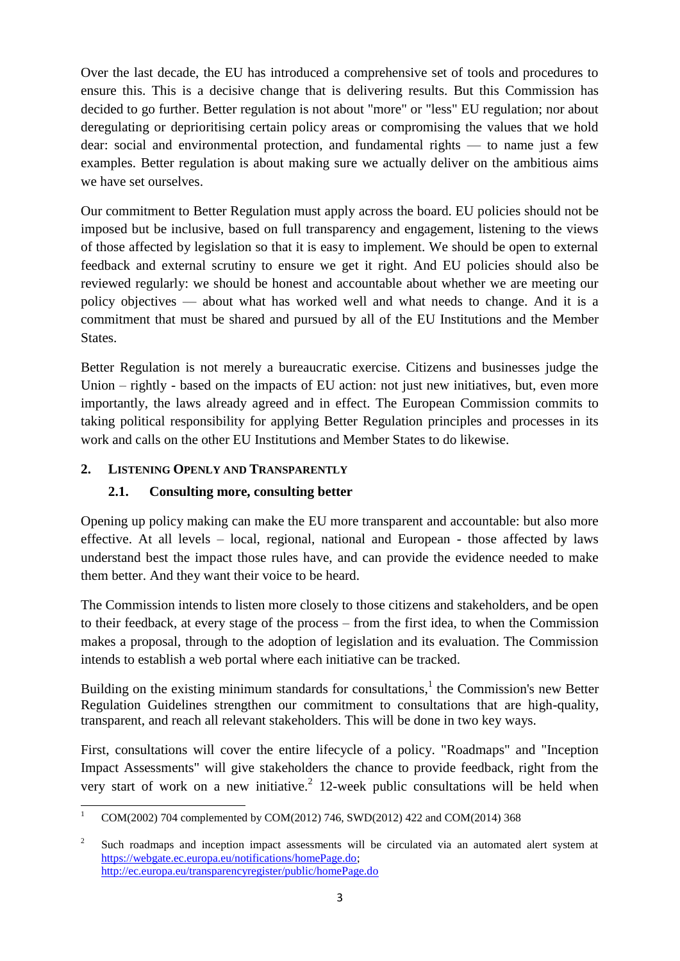Over the last decade, the EU has introduced a comprehensive set of tools and procedures to ensure this. This is a decisive change that is delivering results. But this Commission has decided to go further. Better regulation is not about "more" or "less" EU regulation; nor about deregulating or deprioritising certain policy areas or compromising the values that we hold dear: social and environmental protection, and fundamental rights — to name just a few examples. Better regulation is about making sure we actually deliver on the ambitious aims we have set ourselves.

Our commitment to Better Regulation must apply across the board. EU policies should not be imposed but be inclusive, based on full transparency and engagement, listening to the views of those affected by legislation so that it is easy to implement. We should be open to external feedback and external scrutiny to ensure we get it right. And EU policies should also be reviewed regularly: we should be honest and accountable about whether we are meeting our policy objectives — about what has worked well and what needs to change. And it is a commitment that must be shared and pursued by all of the EU Institutions and the Member States.

Better Regulation is not merely a bureaucratic exercise. Citizens and businesses judge the Union – rightly - based on the impacts of EU action: not just new initiatives, but, even more importantly, the laws already agreed and in effect. The European Commission commits to taking political responsibility for applying Better Regulation principles and processes in its work and calls on the other EU Institutions and Member States to do likewise.

# **2. LISTENING OPENLY AND TRANSPARENTLY**

# **2.1. Consulting more, consulting better**

Opening up policy making can make the EU more transparent and accountable: but also more effective. At all levels – local, regional, national and European - those affected by laws understand best the impact those rules have, and can provide the evidence needed to make them better. And they want their voice to be heard.

The Commission intends to listen more closely to those citizens and stakeholders, and be open to their feedback, at every stage of the process – from the first idea, to when the Commission makes a proposal, through to the adoption of legislation and its evaluation. The Commission intends to establish a web portal where each initiative can be tracked.

Building on the existing minimum standards for consultations, $<sup>1</sup>$  the Commission's new Better</sup> Regulation Guidelines strengthen our commitment to consultations that are high-quality, transparent, and reach all relevant stakeholders. This will be done in two key ways.

First, consultations will cover the entire lifecycle of a policy. "Roadmaps" and "Inception Impact Assessments" will give stakeholders the chance to provide feedback, right from the very start of work on a new initiative.<sup>2</sup> 12-week public consultations will be held when

 $\overline{a}$ <sup>1</sup> COM(2002) 704 complemented by COM(2012) 746, SWD(2012) 422 and COM(2014) 368

<sup>2</sup> Such roadmaps and inception impact assessments will be circulated via an automated alert system at [https://webgate.ec.europa.eu/notifications/homePage.do;](https://webgate.ec.europa.eu/notifications/homePage.do) <http://ec.europa.eu/transparencyregister/public/homePage.do>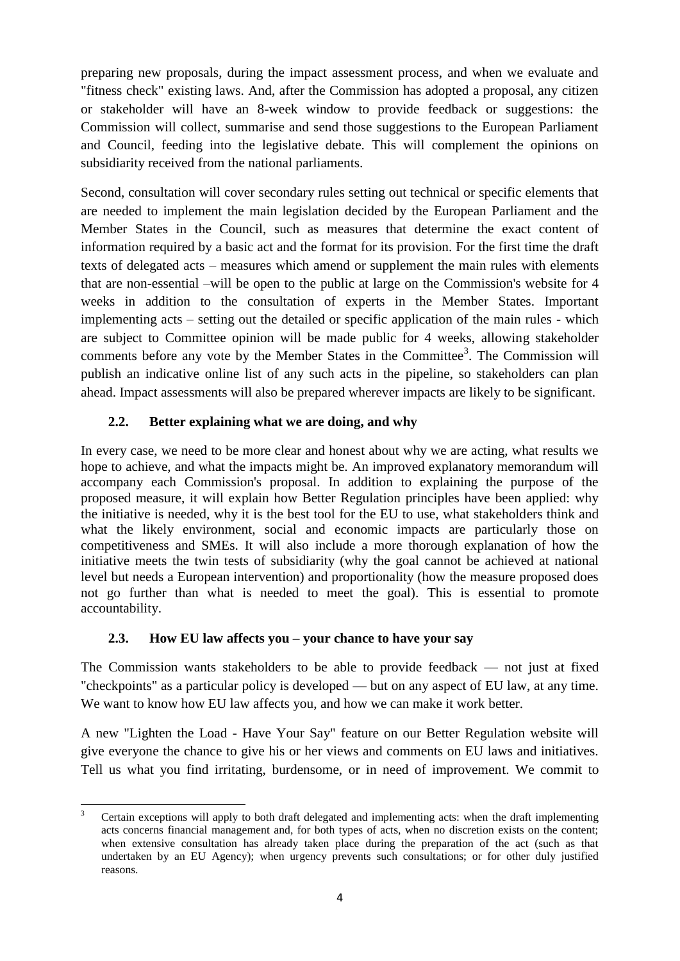preparing new proposals, during the impact assessment process, and when we evaluate and "fitness check" existing laws. And, after the Commission has adopted a proposal, any citizen or stakeholder will have an 8-week window to provide feedback or suggestions: the Commission will collect, summarise and send those suggestions to the European Parliament and Council, feeding into the legislative debate. This will complement the opinions on subsidiarity received from the national parliaments.

Second, consultation will cover secondary rules setting out technical or specific elements that are needed to implement the main legislation decided by the European Parliament and the Member States in the Council, such as measures that determine the exact content of information required by a basic act and the format for its provision. For the first time the draft texts of delegated acts – measures which amend or supplement the main rules with elements that are non-essential –will be open to the public at large on the Commission's website for 4 weeks in addition to the consultation of experts in the Member States. Important implementing acts – setting out the detailed or specific application of the main rules - which are subject to Committee opinion will be made public for 4 weeks, allowing stakeholder comments before any vote by the Member States in the Committee<sup>3</sup>. The Commission will publish an indicative online list of any such acts in the pipeline, so stakeholders can plan ahead. Impact assessments will also be prepared wherever impacts are likely to be significant.

# **2.2. Better explaining what we are doing, and why**

In every case, we need to be more clear and honest about why we are acting, what results we hope to achieve, and what the impacts might be. An improved explanatory memorandum will accompany each Commission's proposal. In addition to explaining the purpose of the proposed measure, it will explain how Better Regulation principles have been applied: why the initiative is needed, why it is the best tool for the EU to use, what stakeholders think and what the likely environment, social and economic impacts are particularly those on competitiveness and SMEs. It will also include a more thorough explanation of how the initiative meets the twin tests of subsidiarity (why the goal cannot be achieved at national level but needs a European intervention) and proportionality (how the measure proposed does not go further than what is needed to meet the goal). This is essential to promote accountability.

# **2.3. How EU law affects you – your chance to have your say**

The Commission wants stakeholders to be able to provide feedback — not just at fixed "checkpoints" as a particular policy is developed — but on any aspect of EU law, at any time. We want to know how EU law affects you, and how we can make it work better.

A new "Lighten the Load - Have Your Say" feature on our Better Regulation website will give everyone the chance to give his or her views and comments on EU laws and initiatives. Tell us what you find irritating, burdensome, or in need of improvement. We commit to

**<sup>.</sup>** <sup>3</sup> Certain exceptions will apply to both draft delegated and implementing acts: when the draft implementing acts concerns financial management and, for both types of acts, when no discretion exists on the content; when extensive consultation has already taken place during the preparation of the act (such as that undertaken by an EU Agency); when urgency prevents such consultations; or for other duly justified reasons.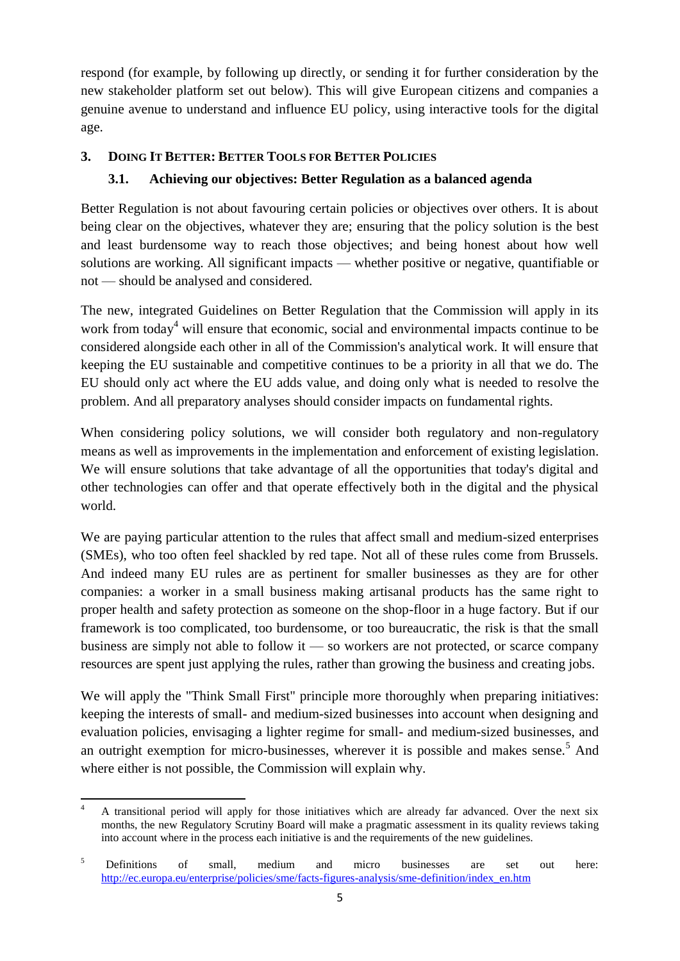respond (for example, by following up directly, or sending it for further consideration by the new stakeholder platform set out below). This will give European citizens and companies a genuine avenue to understand and influence EU policy, using interactive tools for the digital age.

# **3. DOING IT BETTER: BETTER TOOLS FOR BETTER POLICIES**

# **3.1. Achieving our objectives: Better Regulation as a balanced agenda**

Better Regulation is not about favouring certain policies or objectives over others. It is about being clear on the objectives, whatever they are; ensuring that the policy solution is the best and least burdensome way to reach those objectives; and being honest about how well solutions are working. All significant impacts — whether positive or negative, quantifiable or not — should be analysed and considered.

The new, integrated Guidelines on Better Regulation that the Commission will apply in its work from today<sup>4</sup> will ensure that economic, social and environmental impacts continue to be considered alongside each other in all of the Commission's analytical work. It will ensure that keeping the EU sustainable and competitive continues to be a priority in all that we do. The EU should only act where the EU adds value, and doing only what is needed to resolve the problem. And all preparatory analyses should consider impacts on fundamental rights.

When considering policy solutions, we will consider both regulatory and non-regulatory means as well as improvements in the implementation and enforcement of existing legislation. We will ensure solutions that take advantage of all the opportunities that today's digital and other technologies can offer and that operate effectively both in the digital and the physical world.

We are paying particular attention to the rules that affect small and medium-sized enterprises (SMEs), who too often feel shackled by red tape. Not all of these rules come from Brussels. And indeed many EU rules are as pertinent for smaller businesses as they are for other companies: a worker in a small business making artisanal products has the same right to proper health and safety protection as someone on the shop-floor in a huge factory. But if our framework is too complicated, too burdensome, or too bureaucratic, the risk is that the small business are simply not able to follow it — so workers are not protected, or scarce company resources are spent just applying the rules, rather than growing the business and creating jobs.

We will apply the "Think Small First" principle more thoroughly when preparing initiatives: keeping the interests of small- and medium-sized businesses into account when designing and evaluation policies, envisaging a lighter regime for small- and medium-sized businesses, and an outright exemption for micro-businesses, wherever it is possible and makes sense.<sup>5</sup> And where either is not possible, the Commission will explain why.

<sup>1</sup> <sup>4</sup> A transitional period will apply for those initiatives which are already far advanced. Over the next six months, the new Regulatory Scrutiny Board will make a pragmatic assessment in its quality reviews taking into account where in the process each initiative is and the requirements of the new guidelines.

<sup>&</sup>lt;sup>5</sup> Definitions of small, medium and micro businesses are set out here: [http://ec.europa.eu/enterprise/policies/sme/facts-figures-analysis/sme-definition/index\\_en.htm](http://ec.europa.eu/enterprise/policies/sme/facts-figures-analysis/sme-definition/index_en.htm)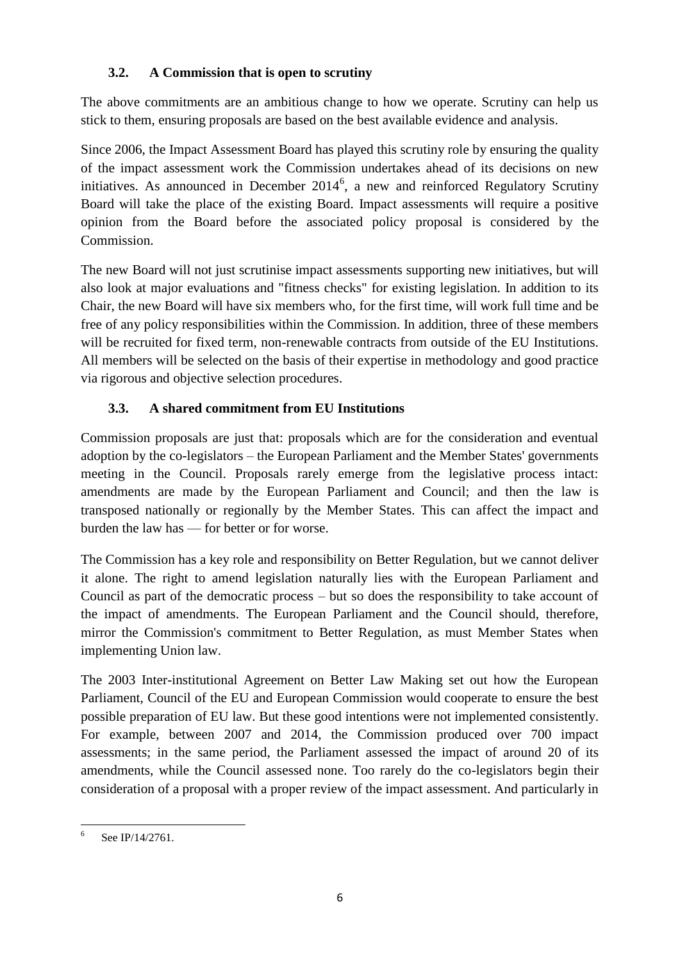# **3.2. A Commission that is open to scrutiny**

The above commitments are an ambitious change to how we operate. Scrutiny can help us stick to them, ensuring proposals are based on the best available evidence and analysis.

Since 2006, the Impact Assessment Board has played this scrutiny role by ensuring the quality of the impact assessment work the Commission undertakes ahead of its decisions on new initiatives. As announced in December  $2014^6$ , a new and reinforced Regulatory Scrutiny Board will take the place of the existing Board. Impact assessments will require a positive opinion from the Board before the associated policy proposal is considered by the Commission.

The new Board will not just scrutinise impact assessments supporting new initiatives, but will also look at major evaluations and "fitness checks" for existing legislation. In addition to its Chair, the new Board will have six members who, for the first time, will work full time and be free of any policy responsibilities within the Commission. In addition, three of these members will be recruited for fixed term, non-renewable contracts from outside of the EU Institutions. All members will be selected on the basis of their expertise in methodology and good practice via rigorous and objective selection procedures.

# **3.3. A shared commitment from EU Institutions**

Commission proposals are just that: proposals which are for the consideration and eventual adoption by the co-legislators – the European Parliament and the Member States' governments meeting in the Council. Proposals rarely emerge from the legislative process intact: amendments are made by the European Parliament and Council; and then the law is transposed nationally or regionally by the Member States. This can affect the impact and burden the law has — for better or for worse.

The Commission has a key role and responsibility on Better Regulation, but we cannot deliver it alone. The right to amend legislation naturally lies with the European Parliament and Council as part of the democratic process – but so does the responsibility to take account of the impact of amendments. The European Parliament and the Council should, therefore, mirror the Commission's commitment to Better Regulation, as must Member States when implementing Union law.

The 2003 Inter-institutional Agreement on Better Law Making set out how the European Parliament, Council of the EU and European Commission would cooperate to ensure the best possible preparation of EU law. But these good intentions were not implemented consistently. For example, between 2007 and 2014, the Commission produced over 700 impact assessments; in the same period, the Parliament assessed the impact of around 20 of its amendments, while the Council assessed none. Too rarely do the co-legislators begin their consideration of a proposal with a proper review of the impact assessment. And particularly in

 $\frac{1}{6}$ See IP/14/2761.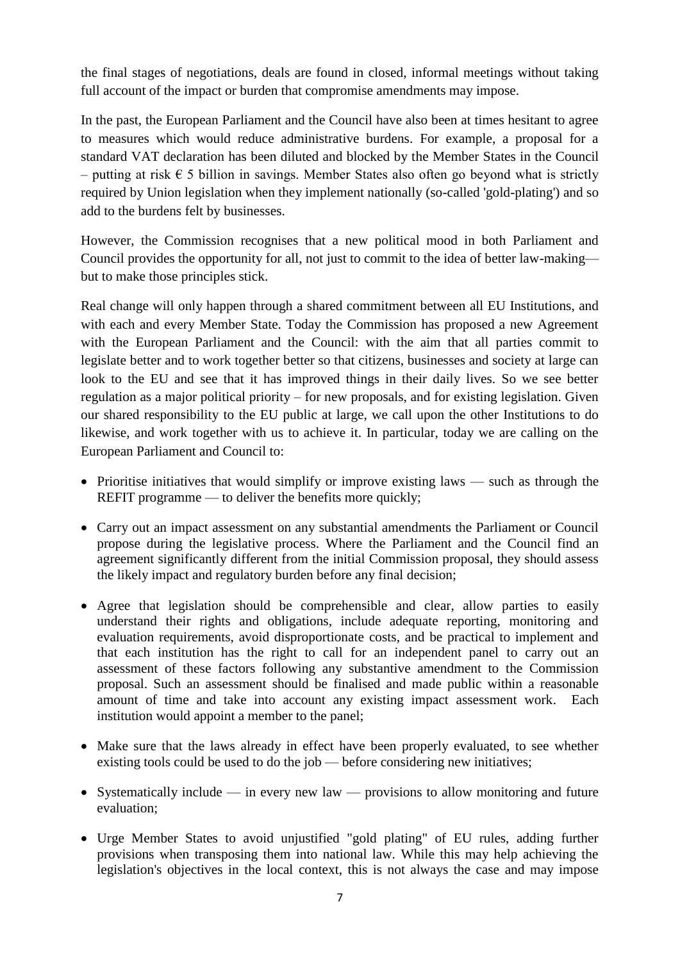the final stages of negotiations, deals are found in closed, informal meetings without taking full account of the impact or burden that compromise amendments may impose.

In the past, the European Parliament and the Council have also been at times hesitant to agree to measures which would reduce administrative burdens. For example, a proposal for a standard VAT declaration has been diluted and blocked by the Member States in the Council – putting at risk  $\epsilon$  5 billion in savings. Member States also often go beyond what is strictly required by Union legislation when they implement nationally (so-called 'gold-plating') and so add to the burdens felt by businesses.

However, the Commission recognises that a new political mood in both Parliament and Council provides the opportunity for all, not just to commit to the idea of better law-making but to make those principles stick.

Real change will only happen through a shared commitment between all EU Institutions, and with each and every Member State. Today the Commission has proposed a new Agreement with the European Parliament and the Council: with the aim that all parties commit to legislate better and to work together better so that citizens, businesses and society at large can look to the EU and see that it has improved things in their daily lives. So we see better regulation as a major political priority – for new proposals, and for existing legislation. Given our shared responsibility to the EU public at large, we call upon the other Institutions to do likewise, and work together with us to achieve it. In particular, today we are calling on the European Parliament and Council to:

- Prioritise initiatives that would simplify or improve existing laws such as through the REFIT programme — to deliver the benefits more quickly:
- Carry out an impact assessment on any substantial amendments the Parliament or Council propose during the legislative process. Where the Parliament and the Council find an agreement significantly different from the initial Commission proposal, they should assess the likely impact and regulatory burden before any final decision;
- Agree that legislation should be comprehensible and clear, allow parties to easily understand their rights and obligations, include adequate reporting, monitoring and evaluation requirements, avoid disproportionate costs, and be practical to implement and that each institution has the right to call for an independent panel to carry out an assessment of these factors following any substantive amendment to the Commission proposal. Such an assessment should be finalised and made public within a reasonable amount of time and take into account any existing impact assessment work. Each institution would appoint a member to the panel;
- Make sure that the laws already in effect have been properly evaluated, to see whether existing tools could be used to do the job — before considering new initiatives;
- Systematically include in every new law provisions to allow monitoring and future evaluation;
- Urge Member States to avoid unjustified "gold plating" of EU rules, adding further provisions when transposing them into national law. While this may help achieving the legislation's objectives in the local context, this is not always the case and may impose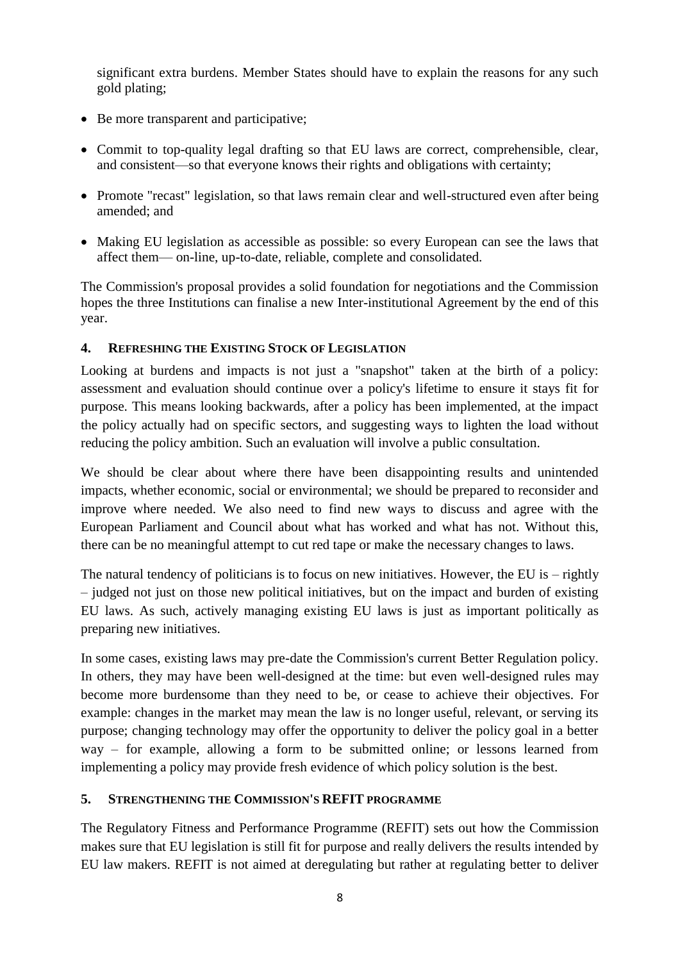significant extra burdens. Member States should have to explain the reasons for any such gold plating;

- Be more transparent and participative;
- Commit to top-quality legal drafting so that EU laws are correct, comprehensible, clear, and consistent—so that everyone knows their rights and obligations with certainty;
- Promote "recast" legislation, so that laws remain clear and well-structured even after being amended; and
- Making EU legislation as accessible as possible: so every European can see the laws that affect them— on-line, up-to-date, reliable, complete and consolidated.

The Commission's proposal provides a solid foundation for negotiations and the Commission hopes the three Institutions can finalise a new Inter-institutional Agreement by the end of this year.

## **4. REFRESHING THE EXISTING STOCK OF LEGISLATION**

Looking at burdens and impacts is not just a "snapshot" taken at the birth of a policy: assessment and evaluation should continue over a policy's lifetime to ensure it stays fit for purpose. This means looking backwards, after a policy has been implemented, at the impact the policy actually had on specific sectors, and suggesting ways to lighten the load without reducing the policy ambition. Such an evaluation will involve a public consultation.

We should be clear about where there have been disappointing results and unintended impacts, whether economic, social or environmental; we should be prepared to reconsider and improve where needed. We also need to find new ways to discuss and agree with the European Parliament and Council about what has worked and what has not. Without this, there can be no meaningful attempt to cut red tape or make the necessary changes to laws.

The natural tendency of politicians is to focus on new initiatives. However, the EU is – rightly – judged not just on those new political initiatives, but on the impact and burden of existing EU laws. As such, actively managing existing EU laws is just as important politically as preparing new initiatives.

In some cases, existing laws may pre-date the Commission's current Better Regulation policy. In others, they may have been well-designed at the time: but even well-designed rules may become more burdensome than they need to be, or cease to achieve their objectives. For example: changes in the market may mean the law is no longer useful, relevant, or serving its purpose; changing technology may offer the opportunity to deliver the policy goal in a better way – for example, allowing a form to be submitted online; or lessons learned from implementing a policy may provide fresh evidence of which policy solution is the best.

### **5. STRENGTHENING THE COMMISSION'S REFIT PROGRAMME**

The Regulatory Fitness and Performance Programme (REFIT) sets out how the Commission makes sure that EU legislation is still fit for purpose and really delivers the results intended by EU law makers. REFIT is not aimed at deregulating but rather at regulating better to deliver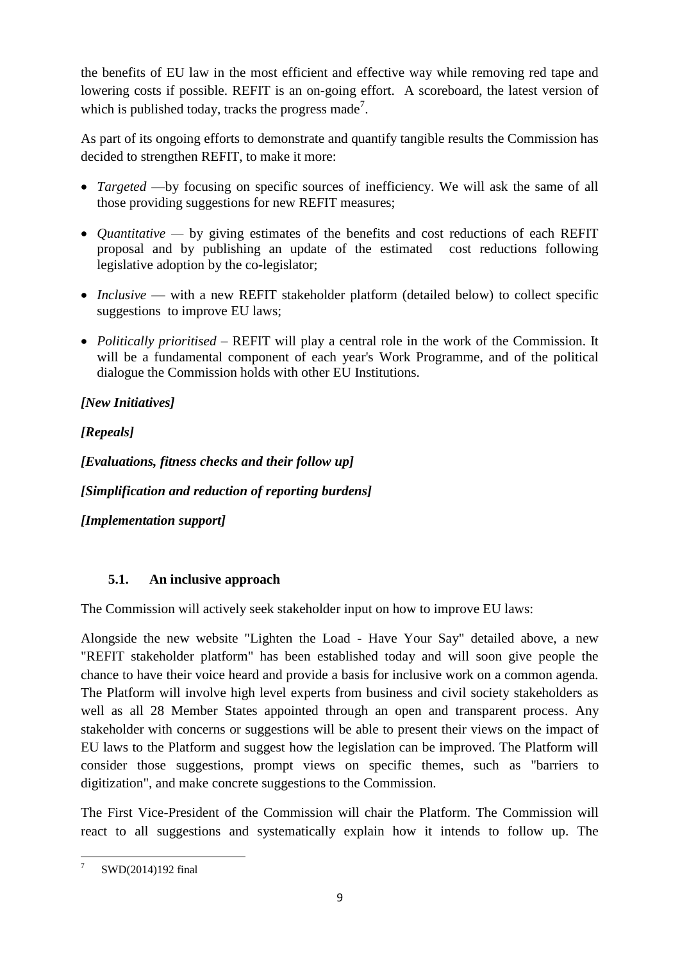the benefits of EU law in the most efficient and effective way while removing red tape and lowering costs if possible. REFIT is an on-going effort. A scoreboard, the latest version of which is published today, tracks the progress made<sup>7</sup>.

As part of its ongoing efforts to demonstrate and quantify tangible results the Commission has decided to strengthen REFIT, to make it more:

- *Targeted* —by focusing on specific sources of inefficiency. We will ask the same of all those providing suggestions for new REFIT measures;
- *Quantitative* by giving estimates of the benefits and cost reductions of each REFIT proposal and by publishing an update of the estimated cost reductions following legislative adoption by the co-legislator;
- *Inclusive* with a new REFIT stakeholder platform (detailed below) to collect specific suggestions to improve EU laws;
- *Politically prioritised* REFIT will play a central role in the work of the Commission. It will be a fundamental component of each year's Work Programme, and of the political dialogue the Commission holds with other EU Institutions.

# *[New Initiatives]*

*[Repeals]*

*[Evaluations, fitness checks and their follow up]*

*[Simplification and reduction of reporting burdens]* 

*[Implementation support]*

# **5.1. An inclusive approach**

The Commission will actively seek stakeholder input on how to improve EU laws:

Alongside the new website "Lighten the Load - Have Your Say" detailed above, a new "REFIT stakeholder platform" has been established today and will soon give people the chance to have their voice heard and provide a basis for inclusive work on a common agenda. The Platform will involve high level experts from business and civil society stakeholders as well as all 28 Member States appointed through an open and transparent process. Any stakeholder with concerns or suggestions will be able to present their views on the impact of EU laws to the Platform and suggest how the legislation can be improved. The Platform will consider those suggestions, prompt views on specific themes, such as "barriers to digitization", and make concrete suggestions to the Commission.

The First Vice-President of the Commission will chair the Platform. The Commission will react to all suggestions and systematically explain how it intends to follow up. The

**<sup>.</sup>** 7 [SWD\(2014\)192 final](http://ec.europa.eu/smart-regulation/docs/scoreboard_en.pdf)